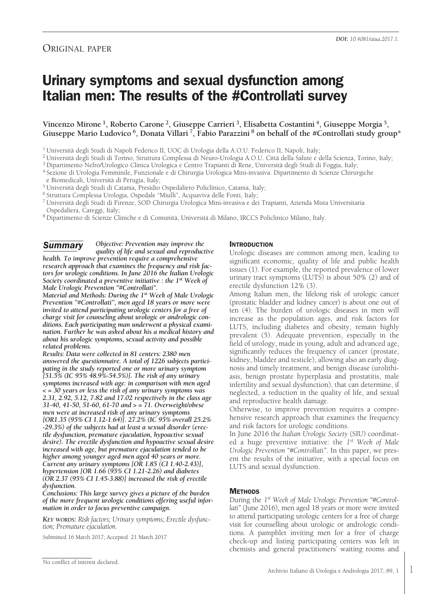# ORIGINAL PAPER

# **Urinary symptoms and sexual dysfunction among Italian men: The results of the #Controllati survey**

**Vincenzo Mirone 1, Roberto Carone 2, Giuseppe Carrieri 3, Elisabetta Costantini 4, Giuseppe Morgia 5, Giuseppe Mario Ludovico 6, Donata Villari 7, Fabio Parazzini <sup>8</sup> on behalf of the #Controllati study group\***

<sup>1</sup> Università degli Studi di Napoli Federico II, UOC di Urologia della A.O.U. Federico II, Napoli, Italy;

<sup>2</sup> Università degli Studi di Torino, Struttura Complessa di Neuro-Urologia A.O.U. Città della Salute e della Scienza, Torino, Italy;

<sup>3</sup> Dipartimento Nefro/Urologico Clinica Urologica e Centro Trapianti di Rene, Università degli Studi di Foggia, Italy;

<sup>4</sup> Sezione di Urologia Femminile, Funzionale e di Chirurgia Urologica Mini-invasiva. Dipartimento di Scienze Chirurgiche e Biomedicali, Università di Perugia, Italy;

<sup>5</sup> Università degli Studi di Catania, Presidio Ospedaliero Policlinico, Catania, Italy;

<sup>6</sup> Struttura Complessa Urologia, Ospedale "Miulli", Acquaviva delle Fonti, Italy;

<sup>7</sup> Università degli Studi di Firenze, SOD Chirurgia Urologica Mini-invasiva e dei Trapianti, Azienda Mista Universitaria

Ospedaliera, Careggi, Italy; <sup>8</sup> Dipartimento di Scienze Cliniche e di Comunità, Università di Milano, IRCCS Policlinico Milano, Italy.

*Objective: Prevention may improve the quality of life and sexual and reproductive health. To improve prevention require a comprehensive research approach that examines the frequency and risk factors for urologic conditions. In June 2016 the Italian Urologic Society coordinated a preventive initiative : the 1st Week of Male Urologic Prevention "#Controllati". Summary*

*Material and Methods: During the 1st Week of Male Urologic Prevention "#Controllati", men aged 18 years or more were invited to attend participating urologic centers for a free of charge visit for counseling about urologic or andrologic conditions. Each participating man underwent a physical examination. Further he was asked about his a medical history and about his urologic symptoms, sexual activity and possible related problems.*

*Results: Data were collected in 81 centers: 2380 men answered the questionnaire. A total of 1226 subjects participating in the study reported one or more urinary symptom [51.5% (IC 95% 48.9%-54.5%)]. The risk of any urinary symptoms increased with age: in comparison with men aged < = 30 years or less the risk of any urinary symptoms was 2.31, 2.92, 5.12, 7.82 and 17.02 respectively in the class age 31-40, 41-50, 51-60, 61-70 and > = 71. Overweight/obese men were at increased risk of any urinary symptoms [OR1.35 (95% CI 1.12-1.64)]. 27.2% (IC 95% overall 25.2% -29.3%) of the subjects had at least a sexual disorder (erectile dysfunction, premature ejaculation, hypoactive sexual desire). The erectile dysfunction and hypoactive sexual desire increased with age, but premature ejaculation tended to be higher among younger aged men aged 40 years or more. Current any urinary symptoms [OR 1.85 (CI 1.40-2.43)], hypertension [OR 1.66 (95% CI 1.21-2.26) and diabetes (OR 2.37 (95% CI 1.45-3.88)] increased the risk of erectile dysfunction.*

*Conclusions: This large survey gives a picture of the burden of the more frequent urologic conditions offering useful information in order to focus preventive campaign.*

*KEY WORDS: Risk factors; Urinary symptoms; Erectile dysfunc- tion; Premature ejaculation.*

Submitted 16 March 2017; Accepted 21 March 2017

## **INTRODUCTION**

Urologic diseases are common among men, leading to significant economic, quality of life and public health issues (1). For example, the reported prevalence of lower urinary tract symptoms (LUTS) is about 50% (2) and of erectile dysfunction 12% (3).

Among Italian men, the lifelong risk of urologic cancer (prostatic bladder and kidney cancer) is about one out of ten (4). The burden of urologic diseases in men will increase as the population ages, and risk factors for LUTS, including diabetes and obesity, remain highly prevalent (5). Adequate prevention, especially in the field of urology, made in young, adult and advanced age, significantly reduces the frequency of cancer (prostate, kidney, bladder and testicle), allowing also an early diagnosis and timely treatment, and benign disease (urolithiasis, benign prostate hyperplasia and prostatitis, male infertility and sexual dysfunction), that can determine, if neglected, a reduction in the quality of life, and sexual and reproductive health damage.

Otherwise, to improve prevention requires a comprehensive research approach that examines the frequency and risk factors for urologic conditions.

In June 2016 the *Italian Urologic Society* (SIU) coordinated a huge preventive initiative: the *1st Week of Male Urologic Prevention "#Controllati"*. In this paper, we present the results of the initiative, with a special focus on LUTS and sexual dysfunction.

# **METHODS**

During the *1st Week of Male Urologic Prevention "#Controllati"* (June 2016), men aged 18 years or more were invited to attend participating urologic centers for a free of charge visit for counselling about urologic or andrologic conditions. A pamphlet inviting men for a free of charge check-up and listing participating centers was left in chemists and general practitioners' waiting rooms and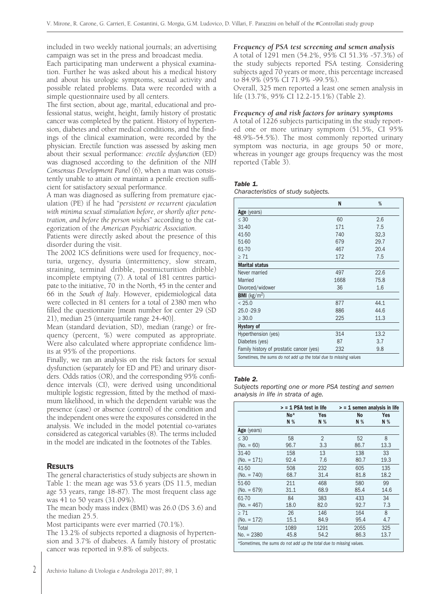included in two weekly national journals; an advertising campaign was set in the press and broadcast media.

Each participating man underwent a physical examination. Further he was asked about his a medical history and about his urologic symptoms, sexual activity and possible related problems. Data were recorded with a simple questionnaire used by all centers.

The first section, about age, marital, educational and professional status, weight, height, family history of prostatic cancer was completed by the patient. History of hypertension, diabetes and other medical conditions, and the findings of the clinical examination, were recorded by the physician. Erectile function was assessed by asking men about their sexual performance: *erectile dysfunction* (ED) was diagnosed according to the definition of the *NIH Consensus Development Panel* (6), when a man was consistently unable to attain or maintain a penile erection sufficient for satisfactory sexual performance.

A man was diagnosed as suffering from premature ejaculation (PE) if he had "*persistent or recurrent ejaculation with minima sexual stimulation before, or shortly after penetration, and before the person wishes*" according to the categorization of the *American Psychiatric Association*.

Patients were directly asked about the presence of this disorder during the visit.

The 2002 ICS definitions were used for frequency, nocturia, urgency, dysuria (intermittency, slow stream, straining, terminal dribble, postmicturition dribble) incomplete emptying (7). A total of 181 centres participate to the initiative, 70 in the North, 45 in the center and 66 in the *South of Italy*. However, epidemiological data were collected in 81 centers for a total of 2380 men who filled the questionnaire [mean number for center 29 (SD 21), median 25 (interquartile range 24-40)].

Mean (standard deviation, SD), median (range) or frequency (percent, %) were computed as appropriate. Were also calculated where appropriate confidence limits at 95% of the proportions.

Finally, we ran an analysis on the risk factors for sexual dysfunction (separately for ED and PE) and urinary disorders. Odds ratios (OR), and the corresponding 95% confidence intervals (CI), were derived using unconditional multiple logistic regression, fitted by the method of maximum likelihood, in which the dependent variable was the presence (case) or absence (control) of the condition and the independent ones were the exposures considered in the analysis. We included in the model potential co-variates considered as categorical variables (8). The terms included in the model are indicated in the footnotes of the Tables.

# **RESULTS**

The general characteristics of study subjects are shown in Table 1: the mean age was 53.6 years (DS 11.5, median age 53 years, range 18-87). The most frequent class age was 41 to 50 years (31.09%).

The mean body mass index (BMI) was 26.0 (DS 3.6) and the median 25.5.

Most participants were ever married (70.1%).

The 13.2% of subjects reported a diagnosis of hypertension and 3.7% of diabetes. A family history of prostatic cancer was reported in 9.8% of subjects.

# *Frequency of PSA test screening and semen analysis*

A total of 1291 men (54.2%, 95% CI 51.3% -57.3%) of the study subjects reported PSA testing. Considering subjects aged 70 years or more, this percentage increased to 84.9% (95% CI 71.9% -99.5%).

Overall, 325 men reported a least one semen analysis in life (13.7%, 95% CI 12.2-15.1%) (Table 2).

# *Frequency of and risk factors for urinary symptoms*

A total of 1226 subjects participating in the study reported one or more urinary symptom (51.5%, CI 95% 48.9%-54.5%). The most commonly reported urinary symptom was nocturia, in age groups 50 or more, whereas in younger age groups frequency was the most reported (Table 3).

# *Table 1.*

*Characteristics of study subjects.*

|                                                                   | N    | %    |  |  |
|-------------------------------------------------------------------|------|------|--|--|
| Age (years)                                                       |      |      |  |  |
| $<$ 30                                                            | 60   | 2.6  |  |  |
| $31 - 40$                                                         | 171  | 7.5  |  |  |
| 41-50                                                             | 740  | 32,3 |  |  |
| 51-60                                                             | 679  | 29.7 |  |  |
| 61-70                                                             | 467  | 20.4 |  |  |
| $\geq 71$                                                         | 172  | 7.5  |  |  |
| <b>Marital status</b>                                             |      |      |  |  |
| Never married                                                     | 497  | 22.6 |  |  |
| Married                                                           | 1668 | 75.8 |  |  |
| Divorced/widower                                                  | 36   | 1.6  |  |  |
| <b>BMI</b> ( $kg/m2$ )                                            |      |      |  |  |
| < 25.0                                                            | 877  | 44.1 |  |  |
| 25.0 - 29.9                                                       | 886  | 44.6 |  |  |
| $\geq 30.0$                                                       | 225  | 11.3 |  |  |
| <b>Hystory of</b>                                                 |      |      |  |  |
| Hyperthension (yes)                                               | 314  | 13.2 |  |  |
| Diabetes (yes)                                                    | 87   | 3.7  |  |  |
| 9.8<br>Family history of prostatic cancer (yes)<br>232            |      |      |  |  |
| Sometimes, the sums do not add up the total due to missing values |      |      |  |  |

#### *Table 2.*

*Subjects reporting one or more PSA testing and semen analysis in life in strata of age.*

|                                                                     | > = 1 PSA test in life |                | $>$ = 1 semen analysis in life |      |  |
|---------------------------------------------------------------------|------------------------|----------------|--------------------------------|------|--|
|                                                                     | No*                    | Yes            | No                             | Yes  |  |
|                                                                     | N%                     | N%             | N%                             | N%   |  |
| Age (years)                                                         |                        |                |                                |      |  |
| $<$ 30                                                              | 58                     | $\mathfrak{D}$ | 52                             | 8    |  |
| $(No. = 60)$                                                        | 96.7                   | 3.3            | 86.7                           | 13.3 |  |
| 31-40                                                               | 158                    | 13             | 138                            | 33   |  |
| (No. = 171)                                                         | 92.4                   | 7.6            | 80.7                           | 19.3 |  |
| 41-50                                                               | 508                    | 232            | 605                            | 135  |  |
| $(No. = 740)$                                                       | 68.7                   | 31.4           | 81.8                           | 18.2 |  |
| 51-60                                                               | 211                    | 468            | 580                            | 99   |  |
| (No. = 679)                                                         | 31.1                   | 68.9           | 85.4                           | 14.6 |  |
| 61-70                                                               | 84                     | 383            | 433                            | 34   |  |
| (No. = 467)                                                         | 18.0                   | 82.0           | 92.7                           | 7.3  |  |
| > 71                                                                | 26                     | 146            | 164                            | 8    |  |
| (No. = 172)                                                         | 15.1                   | 84.9           | 95.4                           | 4.7  |  |
| Total                                                               | 1089                   | 1291           | 2055                           | 325  |  |
| No. = 2380                                                          | 45.8                   | 54.2           | 86.3                           | 13.7 |  |
| *Sometimes, the sums do not add up the total due to missing values. |                        |                |                                |      |  |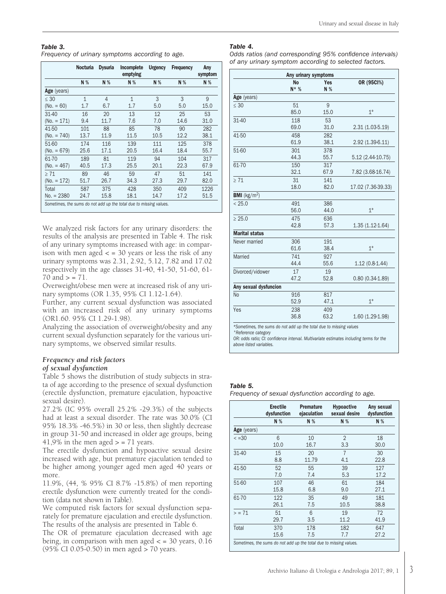## *Table 3.*

*Frequency of urinary symptoms according to age.*

|                                                                    | <b>Nocturia</b> | <b>Dysuria</b> | Incomplete<br>emptying | <b>Urgency</b> | <b>Frequency</b> | Any<br>symptom |
|--------------------------------------------------------------------|-----------------|----------------|------------------------|----------------|------------------|----------------|
|                                                                    | N %             | N%             | N%                     | N %            | N %              | N%             |
| Age (years)                                                        |                 |                |                        |                |                  |                |
| $<$ 30                                                             | $\mathbf{1}$    | $\overline{4}$ | $\mathbf{1}$           | 3              | 3                | 9              |
| $(No. = 60)$                                                       | 1.7             | 6.7            | 1.7                    | 5.0            | 5.0              | 15.0           |
| $31 - 40$                                                          | 16              | 20             | 13                     | 12             | 25               | 53             |
| $(No. = 171)$                                                      | 9.4             | 11.7           | 7.6                    | 7.0            | 14.6             | 31.0           |
| 41-50                                                              | 101             | 88             | 85                     | 78             | 90               | 282            |
| $(No. = 740)$                                                      | 13.7            | 11.9           | 11.5                   | 10.5           | 12.2             | 38.1           |
| 51-60                                                              | 174             | 116            | 139                    | 111            | 125              | 378            |
| $(No. = 679)$                                                      | 25.6            | 17.1           | 20.5                   | 16.4           | 18.4             | 55.7           |
| 61-70                                                              | 189             | 81             | 119                    | 94             | 104              | 317            |
| $(No. = 467)$                                                      | 40.5            | 17.3           | 25.5                   | 20.1           | 22.3             | 67.9           |
| > 71                                                               | 89              | 46             | 59                     | 47             | 51               | 141            |
| $(No. = 172)$                                                      | 51.7            | 26.7           | 34.3                   | 27.3           | 29.7             | 82.0           |
| Total                                                              | 587             | 375            | 428                    | 350            | 409              | 1226           |
| $No. = 2380$                                                       | 24.7            | 15.8           | 18.1                   | 14.7           | 17.2             | 51.5           |
| Sometimes, the sums do not add up the total due to missing values. |                 |                |                        |                |                  |                |

We analyzed risk factors for any urinary disorders: the results of the analysis are presented in Table 4. The risk of any urinary symptoms increased with age: in comparison with men aged  $\lt$  = 30 years or less the risk of any urinary symptoms was 2.31, 2.92, 5.12, 7.82 and 17.02 respectively in the age classes 31-40, 41-50, 51-60, 61-  $70$  and  $>$  =  $71$ .

Overweight/obese men were at increased risk of any urinary symptoms (OR 1.35, 95% CI 1.12-1.64).

Further, any current sexual dysfunction was associated with an increased risk of any urinary symptoms (OR1.60. 95% CI 1.29-1.98).

Analyzing the association of overweight/obesity and any current sexual dysfunction separately for the various urinary symptoms, we observed similar results.

# *Frequency and risk factors*

#### *of sexual dysfunction*

Table 5 shows the distribution of study subjects in strata of age according to the presence of sexual dysfunction (erectile dysfunction, premature ejaculation, hypoactive sexual desire).

27.2% (IC 95% overall 25.2% -29.3%) of the subjects had at least a sexual disorder. The rate was 30.0% (CI 95% 18.3% -46.5%) in 30 or less, then slightly decrease in group 31-50 and increased in older age groups, being 41,9% in the men aged  $>$  = 71 years.

The erectile dysfunction and hypoactive sexual desire increased with age, but premature ejaculation tended to be higher among younger aged men aged 40 years or more.

11.9%, (44, % 95% CI 8.7% -15.8%) of men reporting erectile dysfunction were currently treated for the condition (data not shown in Table).

We computed risk factors for sexual dysfunction separately for premature ejaculation and erectile dysfunction. The results of the analysis are presented in Table 6.

The OR of premature ejaculation decreased with age being, in comparison with men aged  $\lt$  = 30 years, 0.16 (95% CI 0.05-0.50) in men aged > 70 years.

#### *Table 4.*

*Odds ratios (and corresponding 95% confidence intervals) of any urinary symptom according to selected factors.*

|                        | Any urinary symptoms<br><b>No</b> | Yes  | OR (95Cl%)         |
|------------------------|-----------------------------------|------|--------------------|
|                        | $N^*$ %                           | N %  |                    |
| Age (years)            |                                   |      |                    |
| < 30                   | 51                                | 9    |                    |
|                        | 85.0                              | 15.0 | $1^{\circ}$        |
| $31-40$                | 118                               | 53   |                    |
|                        | 69.0                              | 31.0 | 2.31 (1.03-5.19)   |
| 41-50                  | 458                               | 282  |                    |
|                        | 61.9                              | 38.1 | $2.92(1.39-6.11)$  |
| 51-60                  | 301                               | 378  |                    |
|                        | 44.3                              | 55.7 | $5.12(2.44-10.75)$ |
| 61-70                  | 150                               | 317  |                    |
|                        | 32.1                              | 67.9 | 7.82 (3.68-16.74)  |
| > 71                   | 31                                | 141  |                    |
|                        | 18.0                              | 82.0 | 17.02 (7.36-39.33) |
| <b>BMI</b> ( $kg/m2$ ) |                                   |      |                    |
| < 25.0                 | 491                               | 386  |                    |
|                        | 56.0                              | 44.0 | $1^{\circ}$        |
| $\geq 25.0$            | 475                               | 636  |                    |
|                        | 42.8                              | 57.3 | 1.35 (1.12-1.64)   |
| <b>Marital status</b>  |                                   |      |                    |
| Never married          | 306                               | 191  |                    |
|                        | 61.6                              | 38.4 | $1^{\circ}$        |
| Married                | 741                               | 927  |                    |
|                        | 44.4                              | 55.6 | 1.12 (0.8-1.44)    |
| Divorced/vidower       | 17                                | 19   |                    |
|                        | 47.2                              | 52.8 | $0.80(0.34-1.89)$  |
| Any sexual dysfuncion  |                                   |      |                    |
| N <sub>o</sub>         | 916                               | 817  |                    |
|                        | 52.9                              | 47.1 | $1^{\circ}$        |
| Yes                    | 238                               | 409  |                    |
|                        | 36.8                              | 63.2 | 1.60 (1.29-1.98)   |

*°Reference category*

*OR: odds ratio; CI: confidence interval. Multivariate estimates including terms for the above listed variables.*

#### *Table 5.*

*Frequency of sexual dysfunction according to age.*

|             | <b>Erectile</b><br>dysfunction | Premature<br>ejaculation | <b>Hypoactive</b><br>sexual desire | Any sexual<br>dysfunction |
|-------------|--------------------------------|--------------------------|------------------------------------|---------------------------|
|             | N%                             | N %                      | N%                                 | N %                       |
| Age (years) |                                |                          |                                    |                           |
| $\leq$ = 30 | 6                              | 10                       | $\overline{2}$                     | 18                        |
|             | 10.0                           | 16.7                     | 3.3                                | 30.0                      |
| 31-40       | 15                             | 20                       | $\overline{7}$                     | 30                        |
|             | 8.8                            | 11.79                    | 4.1                                | 22.8                      |
| 41-50       | 52                             | 55                       | 39                                 | 127                       |
|             | 7.0                            | 7.4                      | 5.3                                | 17.2                      |
| 51-60       | 107                            | 46                       | 61                                 | 184                       |
|             | 15.8                           | 6.8                      | 9.0                                | 27.1                      |
| 61-70       | 122                            | 35                       | 49                                 | 181                       |
|             | 26.1                           | 7.5                      | 10.5                               | 38.8                      |
| > 71        | 51                             | 6                        | 19                                 | 72                        |
|             | 29.7                           | 3.5                      | 11.2                               | 41.9                      |
| Total       | 370                            | 178                      | 182                                | 647                       |
|             | 15.6                           | 7.5                      | 7.7                                | 27.2                      |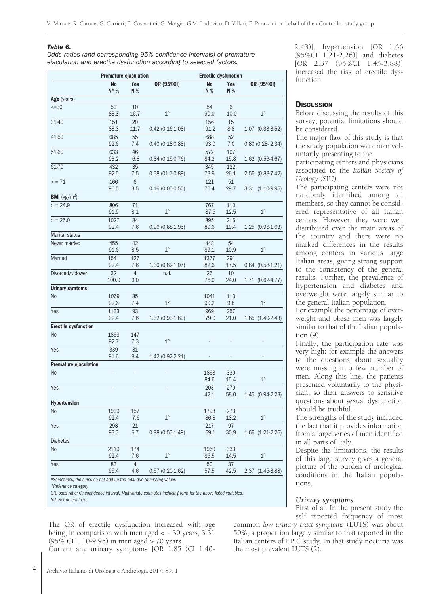#### *Table 6.*

*Odds ratios (and corresponding 95% confidence intervals) of premature ejaculation and erectile dysfunction according to selected factors.*

|                                                                    |                      | Premature ejaculation |                   |                  | <b>Erectile dysfunction</b> |                      |  |
|--------------------------------------------------------------------|----------------------|-----------------------|-------------------|------------------|-----------------------------|----------------------|--|
|                                                                    | <b>No</b><br>$N^*$ % | Yes<br>N %            | OR (95%CI)        | <b>No</b><br>N % | Yes<br>N %                  | OR (95%CI)           |  |
| Age (years)                                                        |                      |                       |                   |                  |                             |                      |  |
| $=30$                                                              | 50                   | 10                    |                   | 54               | 6                           |                      |  |
|                                                                    | 83.3                 | 16.7                  | $1^{\circ}$       | 90.0             | 10.0                        | $1^{\circ}$          |  |
| 31-40                                                              | 151                  | 20                    |                   | 156              | 15                          |                      |  |
|                                                                    | 88.3                 | 11.7                  | $0.42(0.16-1.08)$ | 91.2             | 8.8                         | 1.07 (0.33-3.52)     |  |
| 41-50                                                              | 685                  | 55                    |                   | 688              | 52                          |                      |  |
|                                                                    | 92.6                 | 7.4                   | $0.40(0.18-0.88)$ | 93.0             | 7.0                         | $0.80(0.28-2.34)$    |  |
| 51-60                                                              | 633<br>93.2          | 46<br>6.8             | $0.34(0.15-0.76)$ | 572<br>84.2      | 107<br>15.8                 | 1.62 (0.56-4.67)     |  |
| 61-70                                                              | 432                  | 35                    |                   | 345              | 122                         |                      |  |
|                                                                    | 92.5                 | 7.5                   | $0.38(01.7-0.89)$ | 73.9             | 26.1                        | 2.56 (0.88-7.42)     |  |
| > 71                                                               | 166                  | 6                     |                   | 121              | 51                          |                      |  |
|                                                                    | 96.5                 | 3.5                   | $0.16(0.05-0.50)$ | 70.4             | 29.7                        | 3.31 (1.10-9.95)     |  |
| <b>BMI</b> ( $kg/m2$ )                                             |                      |                       |                   |                  |                             |                      |  |
| > 24.9                                                             | 806                  | 71                    |                   | 767              | 110                         |                      |  |
|                                                                    | 91.9                 | 8.1                   | $1^{\circ}$       | 87.5             | 12.5                        | $1^{\circ}$          |  |
| > 25.0                                                             | 1027                 | 84                    |                   | 895              | 216                         |                      |  |
|                                                                    | 92.4                 | 7.6                   | $0.96(0.68-1.95)$ | 80.6             | 19.4                        | 1.25 (0.96-1.63)     |  |
| Marital status                                                     |                      |                       |                   |                  |                             |                      |  |
| Never married                                                      | 455                  | 42                    |                   | 443              | 54                          |                      |  |
|                                                                    | 91.6                 | 8.5                   | $1^{\circ}$       | 89.1             | 10.9                        | $1^{\circ}$          |  |
| Married                                                            | 1541                 | 127                   |                   | 1377             | 291                         |                      |  |
|                                                                    | 92.4                 | 7.6                   | 1.30 (0.82-1.07)  | 82.6             | 17.5                        | $0.84$ $(0.58-1.21)$ |  |
| Divorced/vidower                                                   | 32<br>100.0          | $\overline{4}$<br>0.0 | n.d.              | 26<br>76.0       | 10<br>24.0                  | 1.71 (0.62-4.77)     |  |
| <b>Urinary symtoms</b>                                             |                      |                       |                   |                  |                             |                      |  |
| No                                                                 | 1069                 | 85                    |                   | 1041             | 113                         |                      |  |
|                                                                    | 92.6                 | 7.4                   | $1^{\circ}$       | 90.2             | 9.8                         | $1^{\circ}$          |  |
| Yes                                                                | 1133                 | 93                    |                   | 969              | 257                         |                      |  |
|                                                                    | 92.4                 | 7.6                   | 1.32 (0.93-1.89)  | 79.0             | 21.0                        | 1.85 (1.40-2.43)     |  |
| <b>Erectile dysfunction</b>                                        |                      |                       |                   |                  |                             |                      |  |
| No                                                                 | 1863                 | 147                   |                   |                  |                             |                      |  |
|                                                                    | 92.7                 | 7.3                   | $1^{\circ}$       |                  |                             |                      |  |
| Yes                                                                | 339                  | 31                    |                   |                  |                             |                      |  |
|                                                                    | 91.6                 | 8.4                   | $1.42(0.92-2.21)$ |                  |                             |                      |  |
| Premature ejaculation                                              |                      |                       |                   |                  |                             |                      |  |
| No                                                                 |                      |                       |                   | 1863             | 339                         |                      |  |
|                                                                    |                      |                       |                   | 84.6             | 15.4                        | $1^{\circ}$          |  |
| Yes                                                                |                      |                       |                   | 203              | 279                         |                      |  |
|                                                                    |                      |                       |                   | 42.1             | 58.0                        | 1.45 (0.94-2.23)     |  |
| Hypertension                                                       |                      |                       |                   |                  |                             |                      |  |
| No                                                                 | 1909<br>92.4         | 157<br>7.6            | $1^{\circ}$       | 1793<br>86.8     | 273<br>13.2                 | $1^{\circ}$          |  |
| Yes                                                                | 293                  | 21                    |                   | 217              | 97                          |                      |  |
|                                                                    | 93.3                 | 6.7                   | $0.88(0.53-1.49)$ | 69.1             | 30.9                        | 1.66 (1.21-2.26)     |  |
| <b>Diabetes</b>                                                    |                      |                       |                   |                  |                             |                      |  |
| No                                                                 | 2119                 | 174                   |                   | 1960             | 333                         |                      |  |
|                                                                    | 92.4                 | 7.6                   | $1^{\circ}$       | 85.5             | 14.5                        | $1^{\circ}$          |  |
| Yes                                                                | 83                   | $\overline{4}$        |                   | 50               | 37                          |                      |  |
|                                                                    | 95.4                 | 4.6                   | $0.57(0.20-1.62)$ | 57.5             | 42.5                        | 2.37 (1.45-3.88)     |  |
| *Sometimes, the sums do not add up the total due to missing values |                      |                       |                   |                  |                             |                      |  |

*°Reference category*

4

*OR: odds ratio; CI: confidence interval. Multivariate estimates including term for the above listed variables. Nd. Not determined.*

The OR of erectile dysfunction increased with age being, in comparison with men aged  $\lt$  = 30 years, 3.31 (95% CI1, 10-9.95) in men aged > 70 years. Current any urinary symptoms [OR 1.85 (CI 1.402.43)], hypertension [OR 1.66 (95%CI 1,21-2,26)] and diabetes [OR 2.37 (95%CI 1.45-3.88)] increased the risk of erectile dysfunction.

## **DISCUSSION**

Before discussing the results of this survey, potential limitations should be considered.

The major flaw of this study is that the study population were men voluntarily presenting to the

participating centers and physicians associated to the *Italian Society of Urology* (SIU).

The participating centers were not randomly identified among all members, so they cannot be considered representative of all Italian centers. However, they were well distributed over the main areas of the country and there were no marked differences in the results among centers in various large Italian areas, giving strong support to the consistency of the general results. Further, the prevalence of hypertension and diabetes and overweight were largely similar to the general Italian population.

For example the percentage of overweight and obese men was largely similar to that of the Italian population (9).

Finally, the participation rate was very high: for example the answers to the questions about sexuality were missing in a few number of men. Along this line, the patients presented voluntarily to the physician, so their answers to sensitive questions about sexual dysfunction should be truthful.

The strengths of the study included the fact that it provides information from a large series of men identified in all parts of Italy.

Despite the limitations, the results of this large survey gives a general picture of the burden of urological conditions in the Italian populations.

#### *Urinary symptoms*

First of all In the present study the self reported frequency of most

common *low urinary tract symptoms* (LUTS) was about 50%, a proportion largely similar to that reported in the Italian centers of EPIC study. In that study nocturia was the most prevalent LUTS (2).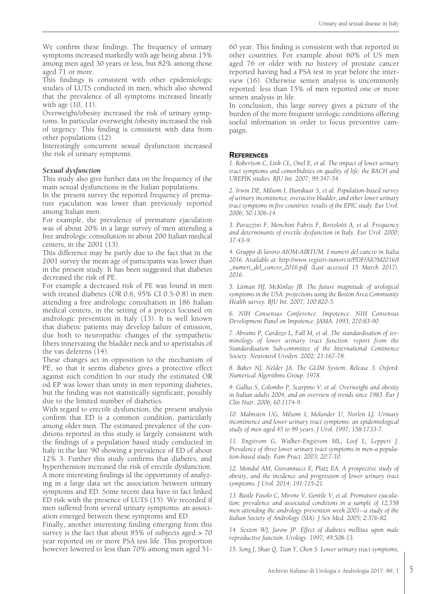We confirm these findings. The frequency of urinary symptoms increased markedly with age being about 15% among men aged 30 years or less, but 82% among those aged 71 or more.

This findings is consistent with other epidemiologic studies of LUTS conducted in men, which also showed that the prevalence of all symptoms increased linearly with age (10, 11).

Overweight/obesity increased the risk of urinary symptoms. In particular overweight /obesity increased the risk of urgency. This finding is consistent with data from other populations (12).

Interestingly concurrent sexual dysfunction increased the risk of urinary symptoms.

# *Sexual dysfunction*

This study also give further data on the frequency of the main sexual dysfunctions in the Italian populations.

In the present survey the reported frequency of premature ejaculation was lower than previously reported among Italian men.

For example, the prevalence of premature ejaculation was of about 20% in a large survey of men attending a free andrologic consultation in about 200 Italian medical centers, in the 2001 (13).

This difference may be partly due to the fact that in the 2001 survey the mean age of participants was lower than in the present study. It has been suggested that diabetes decreased the risk of PE.

For example a decreased risk of PE was found in men with treated diabetes (OR 0.6, 95% CI 0.5-0.8) in men attending a free andrologic consultation in 186 Italian medical centers, in the setting of a project focused on andrologic prevention in Italy (13). It is well known that diabetic patients may develop failure of emission, due both to neuropathic changes of the sympathetic fibers innervating the bladder neck and to aperistalsis of the vas deferens (14).

These changes act in opposition to the mechanism of PE, so that it seems diabetes gives a protective effect against such condition In our study the estimated OR od EP was lower than unity in men reporting diabetes, but the finding was not statistically significant, possibly due to the limited number of diabetics.

With regard to erectile dysfunction, the present analysis confirm that ED is a common condition, particularly among older men. The estimated prevalence of the conditions reported in this study is largely consistent with the findings of a population based study conducted in Italy in the late '90 showing a prevalence of ED of about 12% 3. Further this study confirms that diabetes, and hyperthension increased the risk of erectile dysfunction. A more interesting findings id the opportunity of analyzing in a large data set the association between urinary symptoms and ED. Some recent data have in fact linked ED risk with the presence of LUTS (15). We recorded if men suffered from several urinary symptoms: an association emerged between these symptoms and ED.

Finally, another interesting finding emerging from this survey is the fact that about 85% of subjects aged > 70 year reported on or more PSA test life. This proportion however lowered to less than 70% among men aged 51-

60 year. This finding is consistent with that reported in other countries. For example about 60% of US men aged 76 or older with no history of prostate cancer reported having had a PSA test in year before the interview (16). Otherwise semen analysis is uncommonly reported: less than 15% of men reported one or more semen analysis in life.

In conclusion, this large survey gives a picture of the burden of the more frequent urologic conditions offering useful information in order to focus preventive campaign.

# **REFERENCES**

*1. Robertson C, Link CL, Onel E, et al. The impact of lower urinary tract symptoms and comorbidities on quality of life: the BACH and UREPIK studies. BJU Int. 2007; 99:347-54.*

*2. Irwin DE, Milsom I, Hunskaar S, et al. Population-based survey of urinary incontinence, overactive bladder, and other lower urinary tract symptoms in five countries: results of the EPIC study. Eur Urol. 2006; 50:1306-14.*

*3. Parazzini F, Menchini Fabris F, Bortolotti A, et al. Frequency and determinants of erectile dysfunction in Italy. Eur Urol. 2000; 37:43-9.*

*4. Gruppo di lavoro AIOM-AIRTUM. I numeri del cancro in Italia 2016. Available at: http://www.registri-tumori.it/PDF/AIOM2016/I \_numeri\_del\_cancro\_2016.pdf (Last accessed 15 March 2017). 2016.*

*5. Litman HJ, McKinlay JB. The future magnitude of urological symptoms in the USA: projections using the Boston Area Community Health survey. BJU Int. 2007; 100:820-5.*

*6. NIH Consensus Conference. Impotence. NIH Consensus Development Panel on Impotence. JAMA. 1993; 270:83-90.*

*7. Abrams P, Cardozo L, Fall M, et al. The standardisation of terminology of lower urinary tract function: report from the Standardisation Sub-committee of the International Continence Society. Neurourol Urodyn. 2002; 21:167-78.*

*8. Baker NJ, Nelder JA. The GLIM System. Release 3. Oxford: Numerical Algorithms Group. 1978.*

*9. Gallus S, Colombo P, Scarpino V, et al. Overweight and obesity in Italian adults 2004, and an overview of trends since 1983. Eur J Clin Nutr. 2006; 60:1174-9.*

*10. Malmsten UG, Milsom I, Molander U, Norlen LJ. Urinary incontinence and lower urinary tract symptoms: an epidemiological study of men aged 45 to 99 years. J Urol. 1997; 158:1733-7.*

*11. Engstrom G, Walker-Engstrom ML, Loof L, Leppert J. Prevalence of three lower urinary tract symptoms in men-a population-based study. Fam Pract. 2003; 20:7-10.*

*12. Mondul AM, Giovannucci E, Platz EA. A prospective study of obesity, and the incidence and progression of lower urinary tract symptoms. J Urol. 2014; 191:715-21.*

*13. Basile Fasolo C, Mirone V, Gentile V, et al. Premature ejaculation: prevalence and associated conditions in a sample of 12,558 men attending the andrology prevention week 2001--a study of the Italian Society of Andrology (SIA). J Sex Med. 2005; 2:376-82.*

*14. Sexton WJ, Jarow JP. Effect of diabetes mellitus upon male reproductive function. Urology. 1997; 49:508-13.*

*15. Song J, Shao Q, Tian Y, Chen S. Lower urinary tract symptoms,*